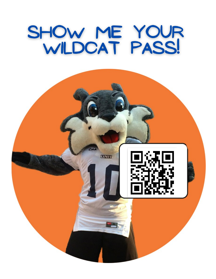# SHOW ME YOUR<br>WILDCAT PASS!

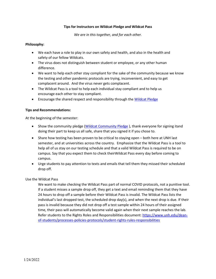## **Tips for Instructors on Wildcat Pledge and Wildcat Pass**

*We are in this together, and for each other.*

### **Philosophy:**

- We each have a role to play in our own safety and health, and also in the health and safety of our fellow Wildcats.
- The virus does not distinguish between student or employee, or any other human difference.
- We want to help each other stay compliant for the sake of the community because we know the testing and other pandemic protocols are trying, inconvenient, and easy to get complacent around. And the virus never gets complacent.
- The Wildcat Pass is a tool to help each individual stay compliant and to help us encourage each other to stay compliant.
- Encourage the shared respect and responsibility through the [Wildcat Pledge](https://www.unh.edu/coronavirus/pledge)

### **Tips and Recommendations:**

At the beginning of the semester:

- Show the community pledge [\(Wildcat Community Pledge](https://www.unh.edu/coronavirus/pledge)), thank everyone for signing itand doing their part to keep us all safe, share that you signed it if you chose to.
- Share how testing has been proven to be critical to staying open both here at UNH last semester, and at universities across the country. Emphasize that the Wildcat Pass is a tool to help all of us stay on our testing schedule and that a valid Wildcat Pass is required to be on campus. Say that you expect them to check theirWildcat Pass every day before coming to campus.
- Urge students to pay attention to texts and emails that tell them they missed their scheduled drop off.

### Use the Wildcat Pass

We want to make checking the Wildcat Pass part of normal COVID protocols, not a punitive tool. If a student misses a sample drop off, they get a text and email reminding them that they have 24 hours to drop off a sample before their Wildcat Pass is invalid. The Wildcat Pass lists the individual's last dropped test, the scheduled drop day(s), and when the next drop is due. If their pass is invalid because they did not drop off a test sample within 24 hours of their assigned time, their pass will automatically become valid again when their next sample reaches the lab. Refer students to the Rights Roles and Responsibilities document: [https://www.unh.edu/dean](https://www.unh.edu/dean-of-students/processes-policies-protocols/student-rights-rules-responsibilities)[of-students/processes-policies-protocols/student-rights-rules-responsibilities](https://www.unh.edu/dean-of-students/processes-policies-protocols/student-rights-rules-responsibilities)